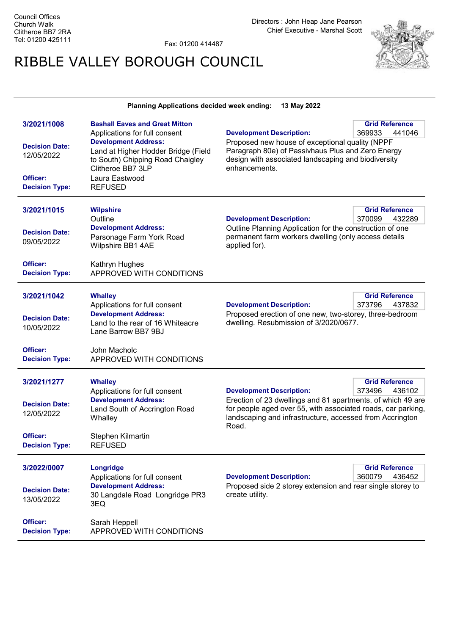Fax: 01200 414487

## RIBBLE VALLEY BOROUGH COUNCIL



## Planning Applications decided week ending: 13 May 2022

| 3/2021/1008<br><b>Decision Date:</b><br>12/05/2022<br>Officer:<br><b>Decision Type:</b> | <b>Bashall Eaves and Great Mitton</b><br>Applications for full consent<br><b>Development Address:</b><br>Land at Higher Hodder Bridge (Field<br>to South) Chipping Road Chaigley<br>Clitheroe BB7 3LP<br>Laura Eastwood<br><b>REFUSED</b> | <b>Development Description:</b><br>Proposed new house of exceptional quality (NPPF<br>Paragraph 80e) of Passivhaus Plus and Zero Energy<br>design with associated landscaping and biodiversity<br>enhancements.                                                                  | <b>Grid Reference</b><br>369933<br>441046 |
|-----------------------------------------------------------------------------------------|-------------------------------------------------------------------------------------------------------------------------------------------------------------------------------------------------------------------------------------------|----------------------------------------------------------------------------------------------------------------------------------------------------------------------------------------------------------------------------------------------------------------------------------|-------------------------------------------|
| 3/2021/1015<br><b>Decision Date:</b><br>09/05/2022<br>Officer:                          | <b>Wilpshire</b><br>Outline<br><b>Development Address:</b><br>Parsonage Farm York Road<br>Wilpshire BB1 4AE<br>Kathryn Hughes                                                                                                             | <b>Grid Reference</b><br><b>Development Description:</b><br>370099<br>432289<br>Outline Planning Application for the construction of one<br>permanent farm workers dwelling (only access details<br>applied for).                                                                |                                           |
| <b>Decision Type:</b><br>3/2021/1042<br><b>Decision Date:</b><br>10/05/2022<br>Officer: | APPROVED WITH CONDITIONS<br><b>Whalley</b><br>Applications for full consent<br><b>Development Address:</b><br>Land to the rear of 16 Whiteacre<br>Lane Barrow BB7 9BJ                                                                     | <b>Development Description:</b><br>Proposed erection of one new, two-storey, three-bedroom<br>dwelling. Resubmission of 3/2020/0677.                                                                                                                                             | <b>Grid Reference</b><br>373796<br>437832 |
| <b>Decision Type:</b>                                                                   | John Macholc<br>APPROVED WITH CONDITIONS                                                                                                                                                                                                  |                                                                                                                                                                                                                                                                                  |                                           |
| 3/2021/1277<br><b>Decision Date:</b><br>12/05/2022<br>Officer:<br><b>Decision Type:</b> | <b>Whalley</b><br>Applications for full consent<br><b>Development Address:</b><br>Land South of Accrington Road<br>Whalley<br>Stephen Kilmartin<br><b>REFUSED</b>                                                                         | <b>Grid Reference</b><br>373496<br><b>Development Description:</b><br>436102<br>Erection of 23 dwellings and 81 apartments, of which 49 are<br>for people aged over 55, with associated roads, car parking,<br>landscaping and infrastructure, accessed from Accrington<br>Road. |                                           |
| 3/2022/0007<br><b>Decision Date:</b><br>13/05/2022                                      | Longridge<br>Applications for full consent<br><b>Development Address:</b><br>30 Langdale Road Longridge PR3<br>3EQ                                                                                                                        | <b>Development Description:</b><br>Proposed side 2 storey extension and rear single storey to<br>create utility.                                                                                                                                                                 | <b>Grid Reference</b><br>360079<br>436452 |
| Officer:<br><b>Decision Type:</b>                                                       | Sarah Heppell<br>APPROVED WITH CONDITIONS                                                                                                                                                                                                 |                                                                                                                                                                                                                                                                                  |                                           |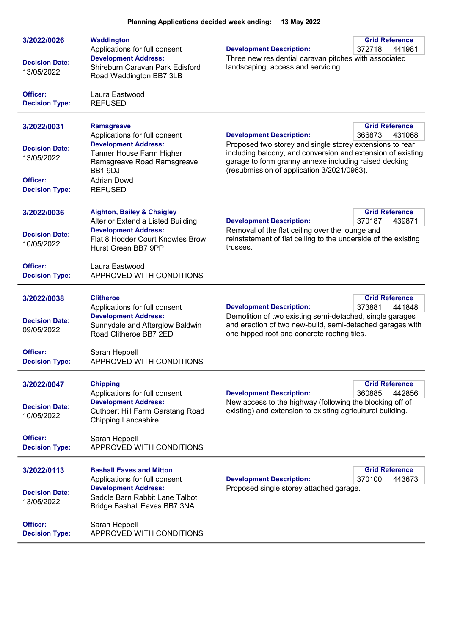| 3/2022/0026<br><b>Decision Date:</b><br>13/05/2022                                      | <b>Waddington</b><br>Applications for full consent<br><b>Development Address:</b><br>Shireburn Caravan Park Edisford<br>Road Waddington BB7 3LB                                                | <b>Development Description:</b><br>Three new residential caravan pitches with associated<br>landscaping, access and servicing.                                                                                                                                    | <b>Grid Reference</b><br>372718<br>441981 |
|-----------------------------------------------------------------------------------------|------------------------------------------------------------------------------------------------------------------------------------------------------------------------------------------------|-------------------------------------------------------------------------------------------------------------------------------------------------------------------------------------------------------------------------------------------------------------------|-------------------------------------------|
| Officer:<br><b>Decision Type:</b>                                                       | Laura Eastwood<br><b>REFUSED</b>                                                                                                                                                               |                                                                                                                                                                                                                                                                   |                                           |
| 3/2022/0031<br><b>Decision Date:</b><br>13/05/2022<br>Officer:<br><b>Decision Type:</b> | <b>Ramsgreave</b><br>Applications for full consent<br><b>Development Address:</b><br>Tanner House Farm Higher<br>Ramsgreave Road Ramsgreave<br>BB1 9DJ<br><b>Adrian Dowd</b><br><b>REFUSED</b> | <b>Development Description:</b><br>Proposed two storey and single storey extensions to rear<br>including balcony, and conversion and extension of existing<br>garage to form granny annexe including raised decking<br>(resubmission of application 3/2021/0963). | <b>Grid Reference</b><br>366873<br>431068 |
| 3/2022/0036<br><b>Decision Date:</b><br>10/05/2022                                      | <b>Aighton, Bailey &amp; Chaigley</b><br>Alter or Extend a Listed Building<br><b>Development Address:</b><br>Flat 8 Hodder Court Knowles Brow<br>Hurst Green BB7 9PP                           | <b>Development Description:</b><br>Removal of the flat ceiling over the lounge and<br>reinstatement of flat ceiling to the underside of the existing<br>trusses.                                                                                                  | <b>Grid Reference</b><br>370187<br>439871 |
| Officer:<br><b>Decision Type:</b>                                                       | Laura Eastwood<br>APPROVED WITH CONDITIONS                                                                                                                                                     |                                                                                                                                                                                                                                                                   |                                           |
| 3/2022/0038<br><b>Decision Date:</b><br>09/05/2022                                      | <b>Clitheroe</b><br>Applications for full consent<br><b>Development Address:</b><br>Sunnydale and Afterglow Baldwin<br>Road Clitheroe BB7 2ED                                                  | <b>Development Description:</b><br>Demolition of two existing semi-detached, single garages<br>and erection of two new-build, semi-detached garages with<br>one hipped roof and concrete roofing tiles.                                                           | <b>Grid Reference</b><br>373881<br>441848 |
| Officer:<br><b>Decision Type:</b>                                                       | Sarah Heppell<br>APPROVED WITH CONDITIONS                                                                                                                                                      |                                                                                                                                                                                                                                                                   |                                           |
| 3/2022/0047<br><b>Decision Date:</b><br>10/05/2022                                      | <b>Chipping</b><br>Applications for full consent<br><b>Development Address:</b><br><b>Cuthbert Hill Farm Garstang Road</b><br><b>Chipping Lancashire</b>                                       | <b>Development Description:</b><br>New access to the highway (following the blocking off of<br>existing) and extension to existing agricultural building.                                                                                                         | <b>Grid Reference</b><br>360885<br>442856 |
| Officer:<br><b>Decision Type:</b>                                                       | Sarah Heppell<br>APPROVED WITH CONDITIONS                                                                                                                                                      |                                                                                                                                                                                                                                                                   |                                           |
| 3/2022/0113<br><b>Decision Date:</b><br>13/05/2022                                      | <b>Bashall Eaves and Mitton</b><br>Applications for full consent<br><b>Development Address:</b><br>Saddle Barn Rabbit Lane Talbot<br>Bridge Bashall Eaves BB7 3NA                              | <b>Development Description:</b><br>Proposed single storey attached garage.                                                                                                                                                                                        | <b>Grid Reference</b><br>370100<br>443673 |
| Officer:<br><b>Decision Type:</b>                                                       | Sarah Heppell<br>APPROVED WITH CONDITIONS                                                                                                                                                      |                                                                                                                                                                                                                                                                   |                                           |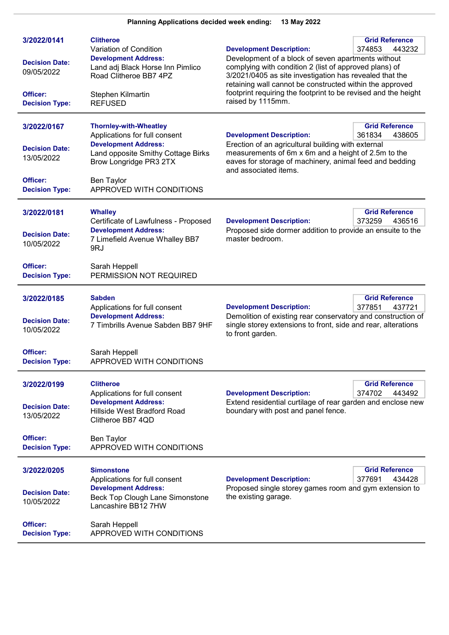| 3/2022/0141<br><b>Decision Date:</b><br>09/05/2022<br>Officer:<br><b>Decision Type:</b> | <b>Clitheroe</b><br>Variation of Condition<br><b>Development Address:</b><br>Land adj Black Horse Inn Pimlico<br>Road Clitheroe BB7 4PZ<br>Stephen Kilmartin<br><b>REFUSED</b>                          | <b>Grid Reference</b><br><b>Development Description:</b><br>374853<br>443232<br>Development of a block of seven apartments without<br>complying with condition 2 (list of approved plans) of<br>3/2021/0405 as site investigation has revealed that the<br>retaining wall cannot be constructed within the approved<br>footprint requiring the footprint to be revised and the height<br>raised by 1115mm. |
|-----------------------------------------------------------------------------------------|---------------------------------------------------------------------------------------------------------------------------------------------------------------------------------------------------------|------------------------------------------------------------------------------------------------------------------------------------------------------------------------------------------------------------------------------------------------------------------------------------------------------------------------------------------------------------------------------------------------------------|
| 3/2022/0167<br><b>Decision Date:</b><br>13/05/2022<br>Officer:<br><b>Decision Type:</b> | <b>Thornley-with-Wheatley</b><br>Applications for full consent<br><b>Development Address:</b><br>Land opposite Smithy Cottage Birks<br>Brow Longridge PR3 2TX<br>Ben Taylor<br>APPROVED WITH CONDITIONS | <b>Grid Reference</b><br><b>Development Description:</b><br>361834<br>438605<br>Erection of an agricultural building with external<br>measurements of 6m x 6m and a height of 2.5m to the<br>eaves for storage of machinery, animal feed and bedding<br>and associated items.                                                                                                                              |
| 3/2022/0181<br><b>Decision Date:</b><br>10/05/2022<br>Officer:<br><b>Decision Type:</b> | <b>Whalley</b><br>Certificate of Lawfulness - Proposed<br><b>Development Address:</b><br>7 Limefield Avenue Whalley BB7<br>9RJ<br>Sarah Heppell<br>PERMISSION NOT REQUIRED                              | <b>Grid Reference</b><br><b>Development Description:</b><br>373259<br>436516<br>Proposed side dormer addition to provide an ensuite to the<br>master bedroom.                                                                                                                                                                                                                                              |
| 3/2022/0185<br><b>Decision Date:</b><br>10/05/2022<br>Officer:<br><b>Decision Type:</b> | <b>Sabden</b><br>Applications for full consent<br><b>Development Address:</b><br>7 Timbrills Avenue Sabden BB7 9HF<br>Sarah Heppell<br>APPROVED WITH CONDITIONS                                         | <b>Grid Reference</b><br><b>Development Description:</b><br>377851<br>437721<br>Demolition of existing rear conservatory and construction of<br>single storey extensions to front, side and rear, alterations<br>to front garden.                                                                                                                                                                          |
| 3/2022/0199<br><b>Decision Date:</b><br>13/05/2022<br>Officer:<br><b>Decision Type:</b> | <b>Clitheroe</b><br>Applications for full consent<br><b>Development Address:</b><br>Hillside West Bradford Road<br>Clitheroe BB7 4QD<br>Ben Taylor<br>APPROVED WITH CONDITIONS                          | <b>Grid Reference</b><br><b>Development Description:</b><br>374702<br>443492<br>Extend residential curtilage of rear garden and enclose new<br>boundary with post and panel fence.                                                                                                                                                                                                                         |
| 3/2022/0205<br><b>Decision Date:</b><br>10/05/2022<br>Officer:<br><b>Decision Type:</b> | <b>Simonstone</b><br>Applications for full consent<br><b>Development Address:</b><br>Beck Top Clough Lane Simonstone<br>Lancashire BB12 7HW<br>Sarah Heppell<br>APPROVED WITH CONDITIONS                | <b>Grid Reference</b><br><b>Development Description:</b><br>377691<br>434428<br>Proposed single storey games room and gym extension to<br>the existing garage.                                                                                                                                                                                                                                             |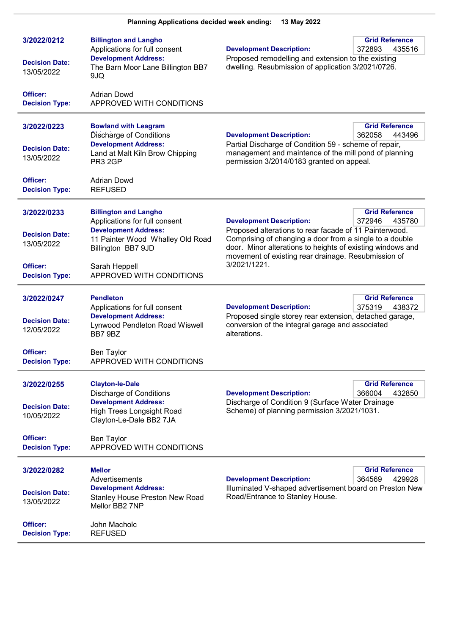| 3/2022/0212<br><b>Decision Date:</b><br>13/05/2022             | <b>Billington and Langho</b><br>Applications for full consent<br><b>Development Address:</b><br>The Barn Moor Lane Billington BB7<br>9JQ                         | <b>Grid Reference</b><br><b>Development Description:</b><br>372893<br>435516<br>Proposed remodelling and extension to the existing<br>dwelling. Resubmission of application 3/2021/0726.                                                                                                                               |
|----------------------------------------------------------------|------------------------------------------------------------------------------------------------------------------------------------------------------------------|------------------------------------------------------------------------------------------------------------------------------------------------------------------------------------------------------------------------------------------------------------------------------------------------------------------------|
| <b>Officer:</b><br><b>Decision Type:</b>                       | <b>Adrian Dowd</b><br>APPROVED WITH CONDITIONS                                                                                                                   |                                                                                                                                                                                                                                                                                                                        |
| 3/2022/0223<br><b>Decision Date:</b><br>13/05/2022<br>Officer: | <b>Bowland with Leagram</b><br><b>Discharge of Conditions</b><br><b>Development Address:</b><br>Land at Malt Kiln Brow Chipping<br>PR3 2GP<br><b>Adrian Dowd</b> | <b>Grid Reference</b><br><b>Development Description:</b><br>362058<br>443496<br>Partial Discharge of Condition 59 - scheme of repair,<br>management and maintence of the mill pond of planning<br>permission 3/2014/0183 granted on appeal.                                                                            |
| <b>Decision Type:</b>                                          | <b>REFUSED</b>                                                                                                                                                   |                                                                                                                                                                                                                                                                                                                        |
| 3/2022/0233<br><b>Decision Date:</b><br>13/05/2022             | <b>Billington and Langho</b><br>Applications for full consent<br><b>Development Address:</b><br>11 Painter Wood Whalley Old Road<br>Billington BB7 9JD           | <b>Grid Reference</b><br><b>Development Description:</b><br>372946<br>435780<br>Proposed alterations to rear facade of 11 Painterwood.<br>Comprising of changing a door from a single to a double<br>door. Minor alterations to heights of existing windows and<br>movement of existing rear drainage. Resubmission of |
| Officer:<br><b>Decision Type:</b>                              | Sarah Heppell<br>APPROVED WITH CONDITIONS                                                                                                                        | 3/2021/1221.                                                                                                                                                                                                                                                                                                           |
| 3/2022/0247<br><b>Decision Date:</b><br>12/05/2022             | <b>Pendleton</b><br>Applications for full consent<br><b>Development Address:</b><br>Lynwood Pendleton Road Wiswell<br>BB7 9BZ                                    | <b>Grid Reference</b><br><b>Development Description:</b><br>375319<br>438372<br>Proposed single storey rear extension, detached garage,<br>conversion of the integral garage and associated<br>alterations.                                                                                                            |
| Officer:<br><b>Decision Type:</b>                              | Ben Taylor<br>APPROVED WITH CONDITIONS                                                                                                                           |                                                                                                                                                                                                                                                                                                                        |
| 3/2022/0255<br><b>Decision Date:</b><br>10/05/2022             | <b>Clayton-le-Dale</b><br><b>Discharge of Conditions</b><br><b>Development Address:</b><br>High Trees Longsight Road<br>Clayton-Le-Dale BB2 7JA                  | <b>Grid Reference</b><br><b>Development Description:</b><br>366004<br>432850<br>Discharge of Condition 9 (Surface Water Drainage<br>Scheme) of planning permission 3/2021/1031.                                                                                                                                        |
| Officer:<br><b>Decision Type:</b>                              | <b>Ben Taylor</b><br>APPROVED WITH CONDITIONS                                                                                                                    |                                                                                                                                                                                                                                                                                                                        |
| 3/2022/0282<br><b>Decision Date:</b><br>13/05/2022             | <b>Mellor</b><br>Advertisements<br><b>Development Address:</b><br>Stanley House Preston New Road<br>Mellor BB2 7NP                                               | <b>Grid Reference</b><br><b>Development Description:</b><br>364569<br>429928<br>Illuminated V-shaped advertisement board on Preston New<br>Road/Entrance to Stanley House.                                                                                                                                             |
| Officer:<br><b>Decision Type:</b>                              | John Macholc<br><b>REFUSED</b>                                                                                                                                   |                                                                                                                                                                                                                                                                                                                        |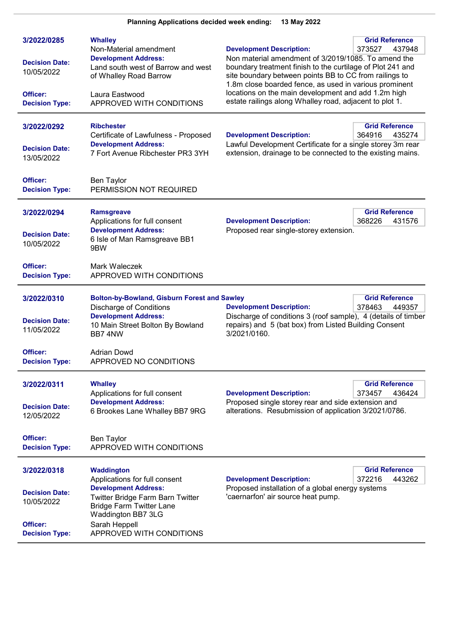| 3/2022/0285<br><b>Decision Date:</b><br>10/05/2022<br>Officer:<br><b>Decision Type:</b> | <b>Whalley</b><br>Non-Material amendment<br><b>Development Address:</b><br>Land south west of Barrow and west<br>of Whalley Road Barrow<br>Laura Eastwood<br>APPROVED WITH CONDITIONS | <b>Grid Reference</b><br><b>Development Description:</b><br>373527<br>437948<br>Non material amendment of 3/2019/1085. To amend the<br>boundary treatment finish to the curtilage of Plot 241 and<br>site boundary between points BB to CC from railings to<br>1.8m close boarded fence, as used in various prominent<br>locations on the main development and add 1.2m high<br>estate railings along Whalley road, adjacent to plot 1. |
|-----------------------------------------------------------------------------------------|---------------------------------------------------------------------------------------------------------------------------------------------------------------------------------------|-----------------------------------------------------------------------------------------------------------------------------------------------------------------------------------------------------------------------------------------------------------------------------------------------------------------------------------------------------------------------------------------------------------------------------------------|
| 3/2022/0292<br><b>Decision Date:</b><br>13/05/2022                                      | <b>Ribchester</b><br>Certificate of Lawfulness - Proposed<br><b>Development Address:</b><br>7 Fort Avenue Ribchester PR3 3YH                                                          | <b>Grid Reference</b><br><b>Development Description:</b><br>364916<br>435274<br>Lawful Development Certificate for a single storey 3m rear<br>extension, drainage to be connected to the existing mains.                                                                                                                                                                                                                                |
| Officer:<br><b>Decision Type:</b>                                                       | Ben Taylor<br>PERMISSION NOT REQUIRED                                                                                                                                                 |                                                                                                                                                                                                                                                                                                                                                                                                                                         |
| 3/2022/0294<br><b>Decision Date:</b><br>10/05/2022                                      | <b>Ramsgreave</b><br>Applications for full consent<br><b>Development Address:</b><br>6 Isle of Man Ramsgreave BB1<br>9BW                                                              | <b>Grid Reference</b><br><b>Development Description:</b><br>368226<br>431576<br>Proposed rear single-storey extension.                                                                                                                                                                                                                                                                                                                  |
| Officer:<br><b>Decision Type:</b>                                                       | Mark Waleczek<br>APPROVED WITH CONDITIONS                                                                                                                                             |                                                                                                                                                                                                                                                                                                                                                                                                                                         |
| 3/2022/0310<br><b>Decision Date:</b><br>11/05/2022                                      | <b>Bolton-by-Bowland, Gisburn Forest and Sawley</b><br><b>Discharge of Conditions</b><br><b>Development Address:</b><br>10 Main Street Bolton By Bowland<br>BB7 4NW                   | <b>Grid Reference</b><br><b>Development Description:</b><br>378463<br>449357<br>Discharge of conditions 3 (roof sample), 4 (details of timber<br>repairs) and 5 (bat box) from Listed Building Consent<br>3/2021/0160.                                                                                                                                                                                                                  |
| Officer:<br><b>Decision Type:</b>                                                       | <b>Adrian Dowd</b><br>APPROVED NO CONDITIONS                                                                                                                                          |                                                                                                                                                                                                                                                                                                                                                                                                                                         |
| 3/2022/0311<br><b>Decision Date:</b><br>12/05/2022                                      | <b>Whalley</b><br>Applications for full consent<br><b>Development Address:</b><br>6 Brookes Lane Whalley BB7 9RG                                                                      | <b>Grid Reference</b><br><b>Development Description:</b><br>436424<br>373457<br>Proposed single storey rear and side extension and<br>alterations. Resubmission of application 3/2021/0786.                                                                                                                                                                                                                                             |
| Officer:<br><b>Decision Type:</b>                                                       | <b>Ben Taylor</b><br>APPROVED WITH CONDITIONS                                                                                                                                         |                                                                                                                                                                                                                                                                                                                                                                                                                                         |
| 3/2022/0318<br><b>Decision Date:</b><br>10/05/2022                                      | Waddington<br>Applications for full consent<br><b>Development Address:</b><br><b>Twitter Bridge Farm Barn Twitter</b><br><b>Bridge Farm Twitter Lane</b>                              | <b>Grid Reference</b><br>372216<br>443262<br><b>Development Description:</b><br>Proposed installation of a global energy systems<br>'caernarfon' air source heat pump.                                                                                                                                                                                                                                                                  |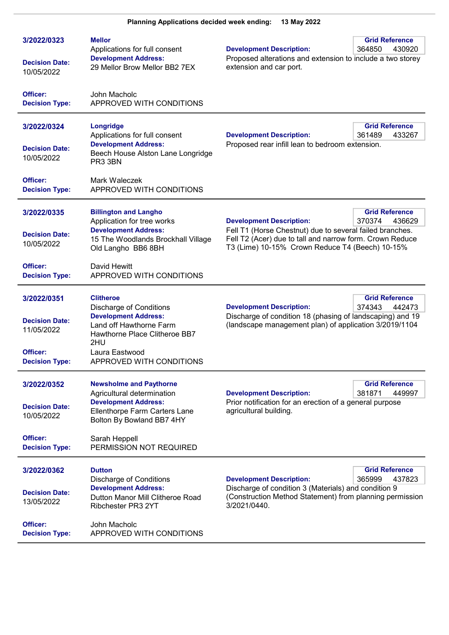| 3/2022/0323<br><b>Decision Date:</b><br>10/05/2022                                      | <b>Mellor</b><br>Applications for full consent<br><b>Development Address:</b><br>29 Mellor Brow Mellor BB2 7EX                                                                                     | <b>Grid Reference</b><br><b>Development Description:</b><br>364850<br>430920<br>Proposed alterations and extension to include a two storey<br>extension and car port.                                                                                   |
|-----------------------------------------------------------------------------------------|----------------------------------------------------------------------------------------------------------------------------------------------------------------------------------------------------|---------------------------------------------------------------------------------------------------------------------------------------------------------------------------------------------------------------------------------------------------------|
| Officer:<br><b>Decision Type:</b>                                                       | John Macholc<br>APPROVED WITH CONDITIONS                                                                                                                                                           |                                                                                                                                                                                                                                                         |
| 3/2022/0324<br><b>Decision Date:</b><br>10/05/2022                                      | Longridge<br>Applications for full consent<br><b>Development Address:</b><br>Beech House Alston Lane Longridge<br>PR3 3BN                                                                          | <b>Grid Reference</b><br><b>Development Description:</b><br>433267<br>361489<br>Proposed rear infill lean to bedroom extension.                                                                                                                         |
| Officer:<br><b>Decision Type:</b>                                                       | Mark Waleczek<br>APPROVED WITH CONDITIONS                                                                                                                                                          |                                                                                                                                                                                                                                                         |
| 3/2022/0335<br><b>Decision Date:</b><br>10/05/2022                                      | <b>Billington and Langho</b><br>Application for tree works<br><b>Development Address:</b><br>15 The Woodlands Brockhall Village<br>Old Langho BB6 8BH                                              | <b>Grid Reference</b><br><b>Development Description:</b><br>370374<br>436629<br>Fell T1 (Horse Chestnut) due to several failed branches.<br>Fell T2 (Acer) due to tall and narrow form. Crown Reduce<br>T3 (Lime) 10-15% Crown Reduce T4 (Beech) 10-15% |
| Officer:<br><b>Decision Type:</b>                                                       | David Hewitt<br>APPROVED WITH CONDITIONS                                                                                                                                                           |                                                                                                                                                                                                                                                         |
| 3/2022/0351<br><b>Decision Date:</b><br>11/05/2022<br>Officer:<br><b>Decision Type:</b> | <b>Clitheroe</b><br><b>Discharge of Conditions</b><br><b>Development Address:</b><br>Land off Hawthorne Farm<br>Hawthorne Place Clitheroe BB7<br>2HU<br>Laura Eastwood<br>APPROVED WITH CONDITIONS | <b>Grid Reference</b><br><b>Development Description:</b><br>374343<br>442473<br>Discharge of condition 18 (phasing of landscaping) and 19<br>(landscape management plan) of application 3/2019/1104                                                     |
| 3/2022/0352<br><b>Decision Date:</b><br>10/05/2022<br>Officer:                          | <b>Newsholme and Paythorne</b><br>Agricultural determination<br><b>Development Address:</b><br>Ellenthorpe Farm Carters Lane<br>Bolton By Bowland BB7 4HY<br>Sarah Heppell                         | <b>Grid Reference</b><br>381871<br>449997<br><b>Development Description:</b><br>Prior notification for an erection of a general purpose<br>agricultural building.                                                                                       |
| <b>Decision Type:</b>                                                                   | PERMISSION NOT REQUIRED                                                                                                                                                                            |                                                                                                                                                                                                                                                         |
| 3/2022/0362<br><b>Decision Date:</b><br>13/05/2022                                      | <b>Dutton</b><br><b>Discharge of Conditions</b><br><b>Development Address:</b><br>Dutton Manor Mill Clitheroe Road<br>Ribchester PR3 2YT                                                           | <b>Grid Reference</b><br><b>Development Description:</b><br>365999<br>437823<br>Discharge of condition 3 (Materials) and condition 9<br>(Construction Method Statement) from planning permission<br>3/2021/0440.                                        |
| Officer:<br><b>Decision Type:</b>                                                       | John Macholc<br>APPROVED WITH CONDITIONS                                                                                                                                                           |                                                                                                                                                                                                                                                         |